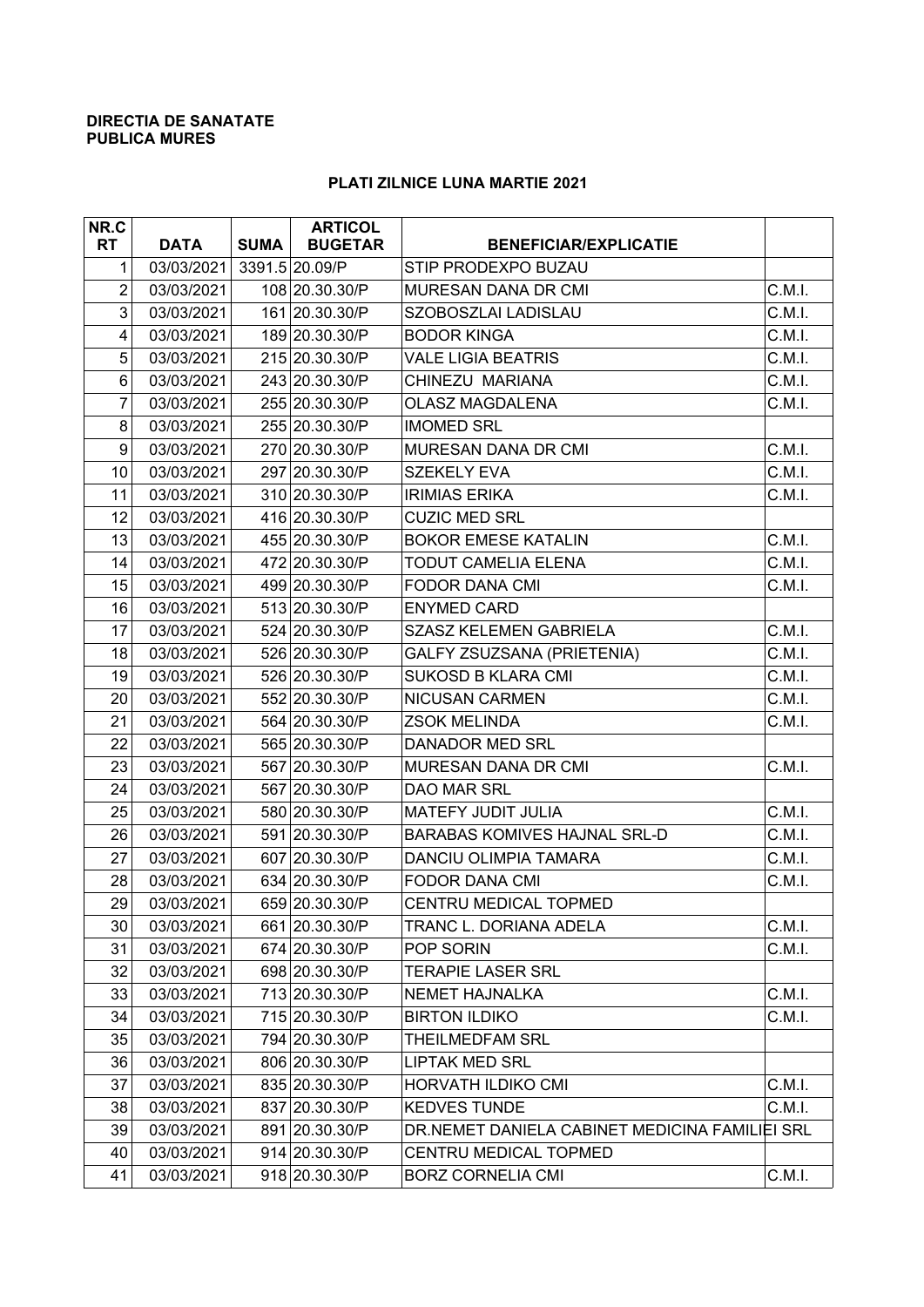## **DIRECTIA DE SANATATE PUBLICA MURES**

## **PLATI ZILNICE LUNA MARTIE 2021**

| NR.C           |             |             | <b>ARTICOL</b> |                                                |        |
|----------------|-------------|-------------|----------------|------------------------------------------------|--------|
| <b>RT</b>      | <b>DATA</b> | <b>SUMA</b> | <b>BUGETAR</b> | <b>BENEFICIAR/EXPLICATIE</b>                   |        |
| 1              | 03/03/2021  |             | 3391.5 20.09/P | STIP PRODEXPO BUZAU                            |        |
| $\overline{c}$ | 03/03/2021  |             | 108 20.30.30/P | MURESAN DANA DR CMI                            | C.M.I. |
| 3              | 03/03/2021  |             | 161 20.30.30/P | SZOBOSZLAI LADISLAU                            | C.M.I. |
| $\overline{4}$ | 03/03/2021  |             | 189 20.30.30/P | <b>BODOR KINGA</b>                             | C.M.I. |
| 5              | 03/03/2021  |             | 215 20.30.30/P | <b>VALE LIGIA BEATRIS</b>                      | C.M.I. |
| 6              | 03/03/2021  |             | 243 20.30.30/P | CHINEZU MARIANA                                | C.M.I. |
| 7              | 03/03/2021  |             | 255 20.30.30/P | <b>OLASZ MAGDALENA</b>                         | C.M.I. |
| 8              | 03/03/2021  |             | 255 20.30.30/P | <b>IMOMED SRL</b>                              |        |
| 9              | 03/03/2021  |             | 270 20.30.30/P | MURESAN DANA DR CMI                            | C.M.I. |
| 10             | 03/03/2021  |             | 297 20.30.30/P | <b>SZEKELY EVA</b>                             | C.M.I. |
| 11             | 03/03/2021  |             | 310 20.30.30/P | <b>IRIMIAS ERIKA</b>                           | C.M.I. |
| 12             | 03/03/2021  |             | 416 20.30.30/P | <b>CUZIC MED SRL</b>                           |        |
| 13             | 03/03/2021  |             | 455 20.30.30/P | <b>BOKOR EMESE KATALIN</b>                     | C.M.I. |
| 14             | 03/03/2021  |             | 472 20.30.30/P | TODUT CAMELIA ELENA                            | C.M.I. |
| 15             | 03/03/2021  |             | 499 20.30.30/P | <b>FODOR DANA CMI</b>                          | C.M.I. |
| 16             | 03/03/2021  |             | 513 20.30.30/P | <b>ENYMED CARD</b>                             |        |
| 17             | 03/03/2021  |             | 524 20.30.30/P | <b>SZASZ KELEMEN GABRIELA</b>                  | C.M.I. |
| 18             | 03/03/2021  |             | 526 20.30.30/P | GALFY ZSUZSANA (PRIETENIA)                     | C.M.I. |
| 19             | 03/03/2021  |             | 526 20.30.30/P | <b>SUKOSD B KLARA CMI</b>                      | C.M.I. |
| 20             | 03/03/2021  |             | 552 20.30.30/P | <b>NICUSAN CARMEN</b>                          | C.M.I. |
| 21             | 03/03/2021  |             | 564 20.30.30/P | <b>ZSOK MELINDA</b>                            | C.M.I. |
| 22             | 03/03/2021  |             | 565 20.30.30/P | DANADOR MED SRL                                |        |
| 23             | 03/03/2021  |             | 567 20.30.30/P | MURESAN DANA DR CMI                            | C.M.I. |
| 24             | 03/03/2021  |             | 567 20.30.30/P | DAO MAR SRL                                    |        |
| 25             | 03/03/2021  |             | 580 20.30.30/P | MATEFY JUDIT JULIA                             | C.M.I. |
| 26             | 03/03/2021  |             | 591 20.30.30/P | <b>BARABAS KOMIVES HAJNAL SRL-D</b>            | C.M.I. |
| 27             | 03/03/2021  |             | 607 20.30.30/P | <b>DANCIU OLIMPIA TAMARA</b>                   | C.M.I. |
| 28             | 03/03/2021  |             | 634 20.30.30/P | <b>FODOR DANA CMI</b>                          | C.M.I. |
| 29             | 03/03/2021  |             | 659 20.30.30/P | CENTRU MEDICAL TOPMED                          |        |
| 30             | 03/03/2021  |             | 661 20.30.30/P | TRANC L. DORIANA ADELA                         | C.M.I. |
| 31             | 03/03/2021  |             | 674 20.30.30/P | POP SORIN                                      | C.M.I. |
| 32             | 03/03/2021  |             | 698 20.30.30/P | <b>TERAPIE LASER SRL</b>                       |        |
| 33             | 03/03/2021  |             | 713 20.30.30/P | <b>NEMET HAJNALKA</b>                          | C.M.I. |
| 34             | 03/03/2021  |             | 715 20.30.30/P | <b>BIRTON ILDIKO</b>                           | C.M.I. |
| 35             | 03/03/2021  |             | 794 20.30.30/P | THEILMEDFAM SRL                                |        |
| 36             | 03/03/2021  |             | 806 20.30.30/P | LIPTAK MED SRL                                 |        |
| 37             | 03/03/2021  |             | 835 20.30.30/P | HORVATH ILDIKO CMI                             | C.M.I. |
| 38             | 03/03/2021  |             | 837 20.30.30/P | <b>KEDVES TUNDE</b>                            | C.M.I. |
| 39             | 03/03/2021  |             | 891 20.30.30/P | DR.NEMET DANIELA CABINET MEDICINA FAMILIEI SRL |        |
| 40             | 03/03/2021  |             | 914 20.30.30/P | CENTRU MEDICAL TOPMED                          |        |
| 41             | 03/03/2021  |             | 918 20.30.30/P | <b>BORZ CORNELIA CMI</b>                       | C.M.I. |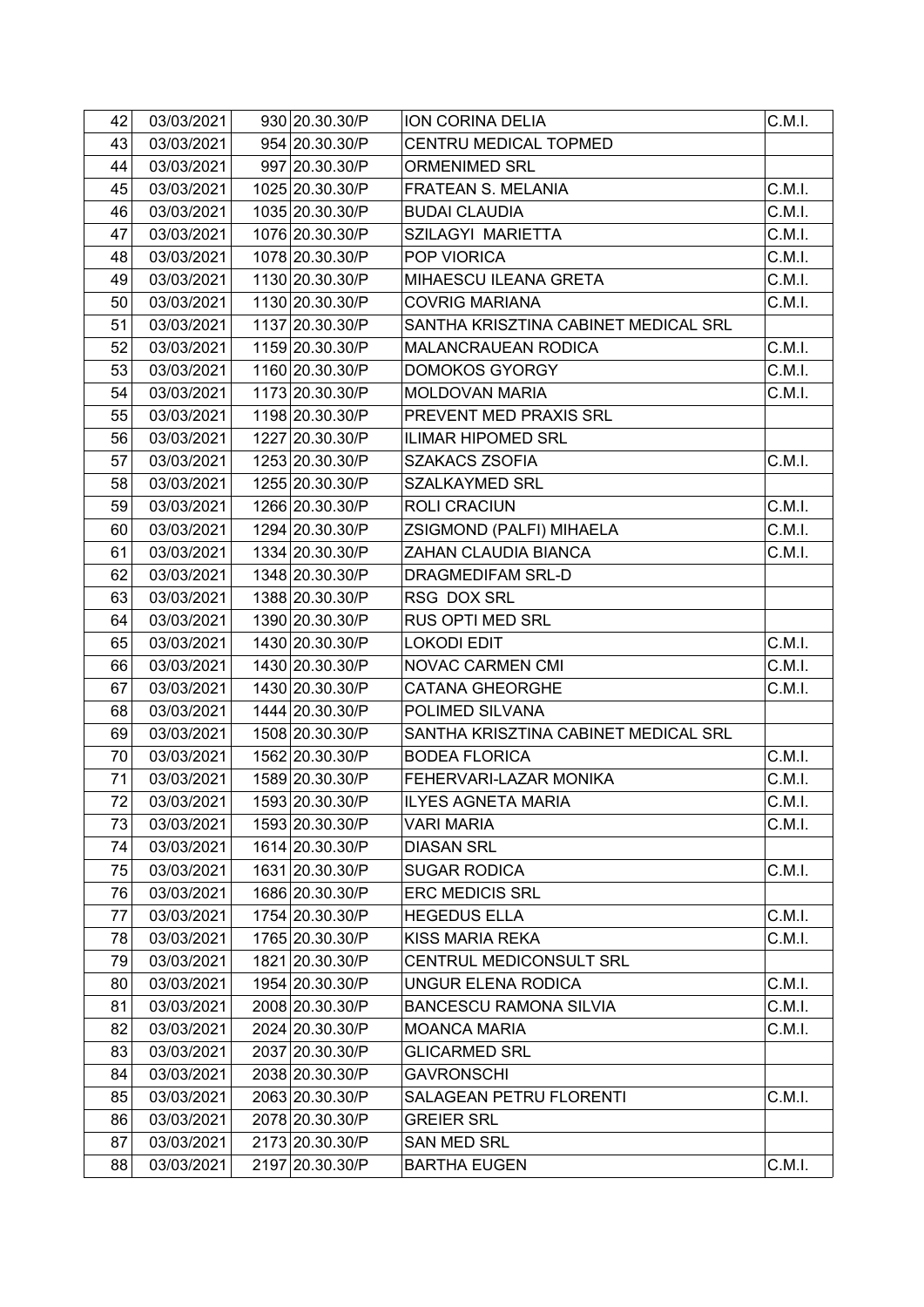| 42 | 03/03/2021 | 930 20.30.30/P  | ION CORINA DELIA                     | C.M.I. |
|----|------------|-----------------|--------------------------------------|--------|
| 43 | 03/03/2021 | 954 20.30.30/P  | CENTRU MEDICAL TOPMED                |        |
| 44 | 03/03/2021 | 997 20.30.30/P  | <b>ORMENIMED SRL</b>                 |        |
| 45 | 03/03/2021 | 1025 20.30.30/P | FRATEAN S. MELANIA                   | C.M.I. |
| 46 | 03/03/2021 | 1035 20.30.30/P | <b>BUDAI CLAUDIA</b>                 | C.M.I. |
| 47 | 03/03/2021 | 1076 20.30.30/P | SZILAGYI MARIETTA                    | C.M.I. |
| 48 | 03/03/2021 | 1078 20.30.30/P | POP VIORICA                          | C.M.I. |
| 49 | 03/03/2021 | 1130 20.30.30/P | MIHAESCU ILEANA GRETA                | C.M.I. |
| 50 | 03/03/2021 | 1130 20.30.30/P | <b>COVRIG MARIANA</b>                | C.M.I. |
| 51 | 03/03/2021 | 1137 20.30.30/P | SANTHA KRISZTINA CABINET MEDICAL SRL |        |
| 52 | 03/03/2021 | 1159 20.30.30/P | MALANCRAUEAN RODICA                  | C.M.I. |
| 53 | 03/03/2021 | 1160 20.30.30/P | <b>DOMOKOS GYORGY</b>                | C.M.I. |
| 54 | 03/03/2021 | 1173 20.30.30/P | <b>MOLDOVAN MARIA</b>                | C.M.I. |
| 55 | 03/03/2021 | 1198 20.30.30/P | PREVENT MED PRAXIS SRL               |        |
| 56 | 03/03/2021 | 1227 20.30.30/P | <b>ILIMAR HIPOMED SRL</b>            |        |
| 57 | 03/03/2021 | 1253 20.30.30/P | <b>SZAKACS ZSOFIA</b>                | C.M.I. |
| 58 | 03/03/2021 | 1255 20.30.30/P | <b>SZALKAYMED SRL</b>                |        |
| 59 | 03/03/2021 | 1266 20.30.30/P | ROLI CRACIUN                         | C.M.I. |
| 60 | 03/03/2021 | 1294 20.30.30/P | ZSIGMOND (PALFI) MIHAELA             | C.M.I. |
| 61 | 03/03/2021 | 1334 20.30.30/P | ZAHAN CLAUDIA BIANCA                 | C.M.I. |
| 62 | 03/03/2021 | 1348 20.30.30/P | DRAGMEDIFAM SRL-D                    |        |
| 63 | 03/03/2021 | 1388 20.30.30/P | RSG DOX SRL                          |        |
| 64 | 03/03/2021 | 1390 20.30.30/P | RUS OPTI MED SRL                     |        |
| 65 | 03/03/2021 | 1430 20.30.30/P | <b>LOKODI EDIT</b>                   | C.M.I. |
| 66 | 03/03/2021 | 1430 20.30.30/P | NOVAC CARMEN CMI                     | C.M.I. |
| 67 | 03/03/2021 | 1430 20.30.30/P | <b>CATANA GHEORGHE</b>               | C.M.I. |
| 68 | 03/03/2021 | 1444 20.30.30/P | POLIMED SILVANA                      |        |
| 69 | 03/03/2021 | 1508 20.30.30/P | SANTHA KRISZTINA CABINET MEDICAL SRL |        |
| 70 | 03/03/2021 | 1562 20.30.30/P | <b>BODEA FLORICA</b>                 | C.M.I. |
| 71 | 03/03/2021 | 1589 20.30.30/P | FEHERVARI-LAZAR MONIKA               | C.M.I. |
| 72 | 03/03/2021 | 1593 20.30.30/P | <b>ILYES AGNETA MARIA</b>            | C.M.I. |
| 73 | 03/03/2021 | 1593 20.30.30/P | VARI MARIA                           | C.M.I. |
| 74 | 03/03/2021 | 1614 20.30.30/P | <b>DIASAN SRL</b>                    |        |
| 75 | 03/03/2021 | 1631 20.30.30/P | <b>SUGAR RODICA</b>                  | C.M.I. |
| 76 | 03/03/2021 | 1686 20.30.30/P | <b>ERC MEDICIS SRL</b>               |        |
| 77 | 03/03/2021 | 1754 20.30.30/P | <b>HEGEDUS ELLA</b>                  | C.M.I. |
| 78 | 03/03/2021 | 1765 20.30.30/P | KISS MARIA REKA                      | C.M.I. |
| 79 | 03/03/2021 | 1821 20.30.30/P | CENTRUL MEDICONSULT SRL              |        |
| 80 | 03/03/2021 | 1954 20.30.30/P | UNGUR ELENA RODICA                   | C.M.I. |
| 81 | 03/03/2021 | 2008 20.30.30/P | <b>BANCESCU RAMONA SILVIA</b>        | C.M.I. |
| 82 | 03/03/2021 | 2024 20.30.30/P | <b>MOANCA MARIA</b>                  | C.M.I. |
| 83 | 03/03/2021 | 2037 20.30.30/P | <b>GLICARMED SRL</b>                 |        |
| 84 | 03/03/2021 | 2038 20.30.30/P | <b>GAVRONSCHI</b>                    |        |
| 85 | 03/03/2021 | 2063 20.30.30/P | SALAGEAN PETRU FLORENTI              | C.M.I. |
| 86 | 03/03/2021 | 2078 20.30.30/P | <b>GREIER SRL</b>                    |        |
| 87 | 03/03/2021 | 2173 20.30.30/P | <b>SAN MED SRL</b>                   |        |
| 88 | 03/03/2021 | 2197 20.30.30/P | <b>BARTHA EUGEN</b>                  | C.M.I. |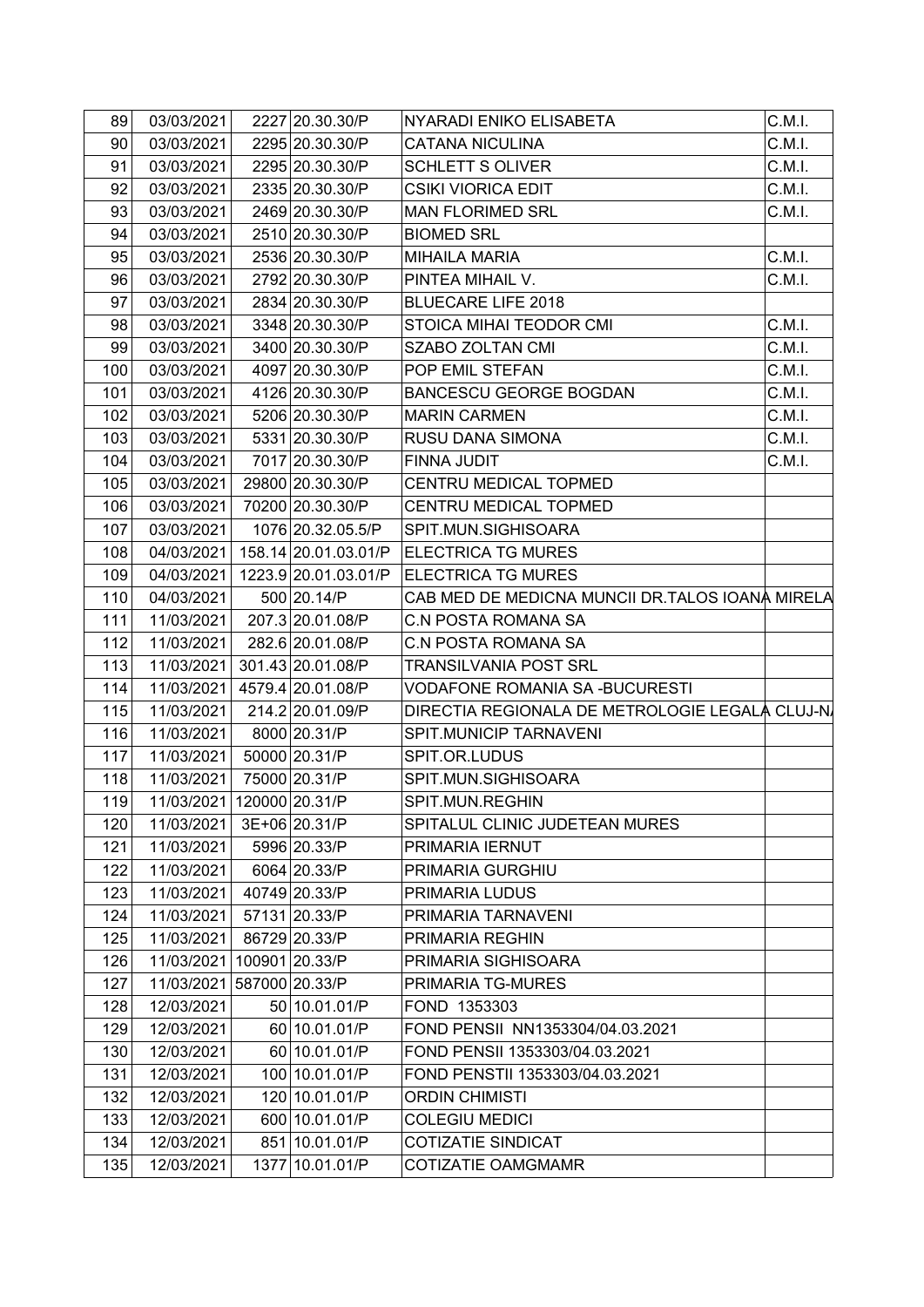| 89  | 03/03/2021                | 2227 20.30.30/P      | NYARADI ENIKO ELISABETA                         | C.M.I. |
|-----|---------------------------|----------------------|-------------------------------------------------|--------|
| 90  | 03/03/2021                | 2295 20.30.30/P      | <b>CATANA NICULINA</b>                          | C.M.I. |
| 91  | 03/03/2021                | 2295 20.30.30/P      | <b>SCHLETT S OLIVER</b>                         | C.M.I. |
| 92  | 03/03/2021                | 2335 20.30.30/P      | <b>CSIKI VIORICA EDIT</b>                       | C.M.I. |
| 93  | 03/03/2021                | 2469 20.30.30/P      | <b>MAN FLORIMED SRL</b>                         | C.M.I. |
| 94  | 03/03/2021                | 2510 20.30.30/P      | <b>BIOMED SRL</b>                               |        |
| 95  | 03/03/2021                | 2536 20.30.30/P      | <b>MIHAILA MARIA</b>                            | C.M.I. |
| 96  | 03/03/2021                | 2792 20.30.30/P      | PINTEA MIHAIL V.                                | C.M.I. |
| 97  | 03/03/2021                | 2834 20.30.30/P      | <b>BLUECARE LIFE 2018</b>                       |        |
| 98  | 03/03/2021                | 3348 20.30.30/P      | STOICA MIHAI TEODOR CMI                         | C.M.I. |
| 99  | 03/03/2021                | 3400 20.30.30/P      | SZABO ZOLTAN CMI                                | C.M.I. |
| 100 | 03/03/2021                | 4097 20.30.30/P      | POP EMIL STEFAN                                 | C.M.I. |
| 101 | 03/03/2021                | 4126 20.30.30/P      | <b>BANCESCU GEORGE BOGDAN</b>                   | C.M.I. |
| 102 | 03/03/2021                | 5206 20.30.30/P      | <b>MARIN CARMEN</b>                             | C.M.I. |
| 103 | 03/03/2021                | 5331 20.30.30/P      | RUSU DANA SIMONA                                | C.M.I. |
| 104 | 03/03/2021                | 7017 20.30.30/P      | FINNA JUDIT                                     | C.M.I. |
| 105 | 03/03/2021                | 29800 20.30.30/P     | CENTRU MEDICAL TOPMED                           |        |
| 106 | 03/03/2021                | 70200 20.30.30/P     | CENTRU MEDICAL TOPMED                           |        |
| 107 | 03/03/2021                | 1076 20.32.05.5/P    | SPIT.MUN.SIGHISOARA                             |        |
| 108 | 04/03/2021                | 158.14 20.01.03.01/P | <b>ELECTRICA TG MURES</b>                       |        |
| 109 | 04/03/2021                | 1223.9 20.01.03.01/P | <b>ELECTRICA TG MURES</b>                       |        |
| 110 | 04/03/2021                | 500 20.14/P          | CAB MED DE MEDICNA MUNCII DR.TALOS IOANA MIRELA |        |
| 111 | 11/03/2021                | 207.3 20.01.08/P     | <b>C.N POSTA ROMANA SA</b>                      |        |
| 112 | 11/03/2021                | 282.6 20.01.08/P     | <b>C.N POSTA ROMANA SA</b>                      |        |
| 113 | 11/03/2021                | 301.43 20.01.08/P    | <b>TRANSILVANIA POST SRL</b>                    |        |
| 114 | 11/03/2021                | 4579.4 20.01.08/P    | VODAFONE ROMANIA SA -BUCURESTI                  |        |
| 115 | 11/03/2021                | 214.2 20.01.09/P     | DIRECTIA REGIONALA DE METROLOGIE LEGALÀ CLUJ-N  |        |
| 116 | 11/03/2021                | 8000 20.31/P         | SPIT.MUNICIP TARNAVENI                          |        |
| 117 | 11/03/2021                | 50000 20.31/P        | SPIT.OR.LUDUS                                   |        |
| 118 | 11/03/2021                | 75000 20.31/P        | SPIT.MUN.SIGHISOARA                             |        |
| 119 | 11/03/2021 120000 20.31/P |                      | SPIT.MUN.REGHIN                                 |        |
| 120 | 11/03/2021                | 3E+06 20.31/P        | SPITALUL CLINIC JUDETEAN MURES                  |        |
| 121 | 11/03/2021                | 5996 20.33/P         | PRIMARIA IERNUT                                 |        |
| 122 | 11/03/2021                | 6064 20.33/P         | PRIMARIA GURGHIU                                |        |
| 123 | 11/03/2021                | 40749 20.33/P        | PRIMARIA LUDUS                                  |        |
| 124 | 11/03/2021                | 57131 20.33/P        | PRIMARIA TARNAVENI                              |        |
| 125 | 11/03/2021                | 86729 20.33/P        | PRIMARIA REGHIN                                 |        |
| 126 | 11/03/2021                | 100901 20.33/P       | PRIMARIA SIGHISOARA                             |        |
| 127 | 11/03/2021 587000 20.33/P |                      | PRIMARIA TG-MURES                               |        |
| 128 | 12/03/2021                | 50 10.01.01/P        | FOND 1353303                                    |        |
| 129 | 12/03/2021                | 60 10.01.01/P        | FOND PENSII NN1353304/04.03.2021                |        |
| 130 | 12/03/2021                | 60 10.01.01/P        | FOND PENSII 1353303/04.03.2021                  |        |
| 131 | 12/03/2021                | 100 10.01.01/P       | FOND PENSTII 1353303/04.03.2021                 |        |
| 132 | 12/03/2021                | 120 10.01.01/P       | <b>ORDIN CHIMISTI</b>                           |        |
| 133 | 12/03/2021                | 600 10.01.01/P       | <b>COLEGIU MEDICI</b>                           |        |
| 134 | 12/03/2021                | 851 10.01.01/P       | <b>COTIZATIE SINDICAT</b>                       |        |
| 135 | 12/03/2021                | 1377 10.01.01/P      | <b>COTIZATIE OAMGMAMR</b>                       |        |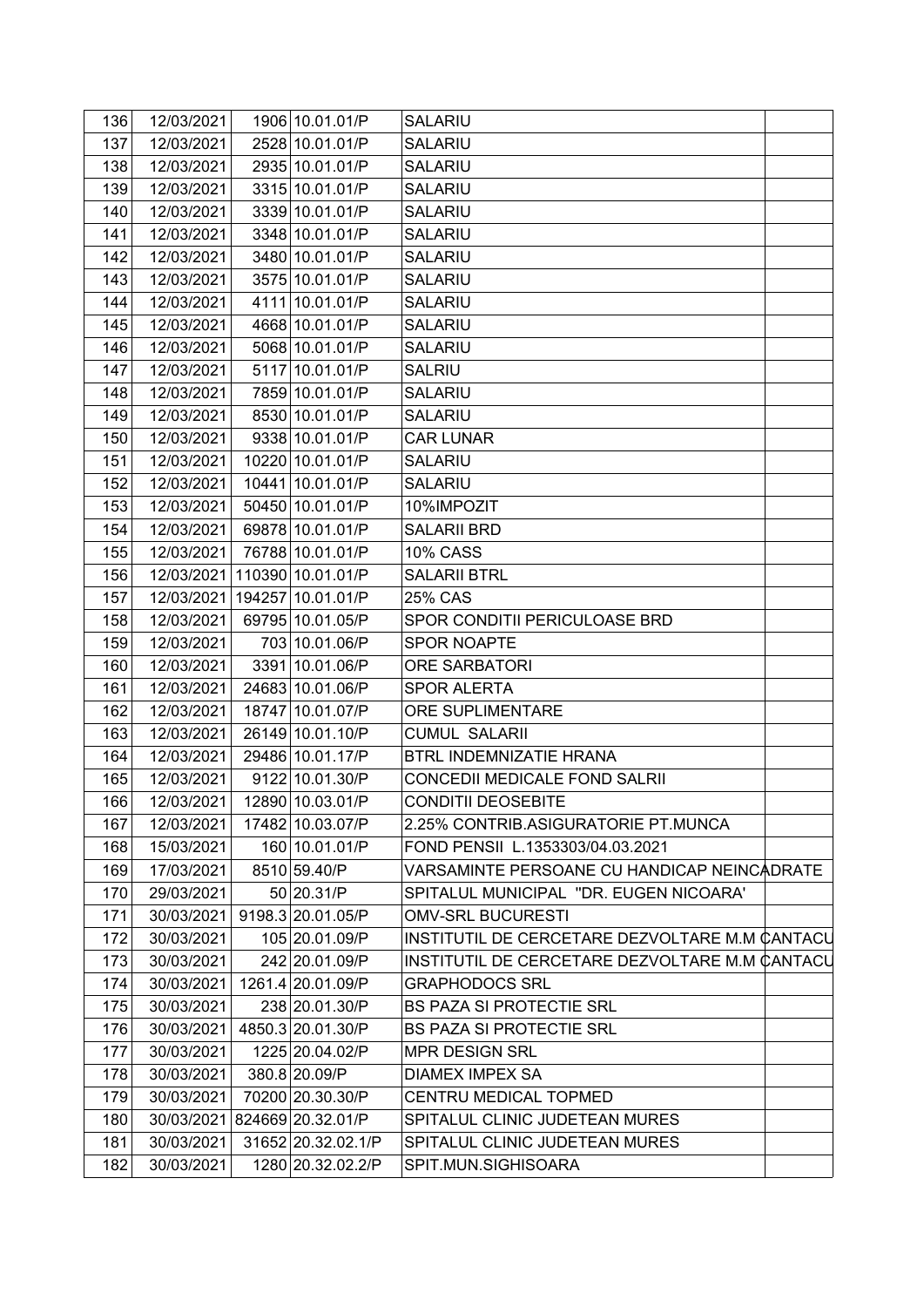| 136 | 12/03/2021 | 1906 10.01.01/P    | SALARIU                                        |
|-----|------------|--------------------|------------------------------------------------|
| 137 | 12/03/2021 | 2528 10.01.01/P    | <b>SALARIU</b>                                 |
| 138 | 12/03/2021 | 2935 10.01.01/P    | <b>SALARIU</b>                                 |
| 139 | 12/03/2021 | 3315 10.01.01/P    | <b>SALARIU</b>                                 |
| 140 | 12/03/2021 | 3339 10.01.01/P    | <b>SALARIU</b>                                 |
| 141 | 12/03/2021 | 3348 10.01.01/P    | <b>SALARIU</b>                                 |
| 142 | 12/03/2021 | 3480 10.01.01/P    | <b>SALARIU</b>                                 |
| 143 | 12/03/2021 | 3575 10.01.01/P    | <b>SALARIU</b>                                 |
| 144 | 12/03/2021 | 4111 10.01.01/P    | <b>SALARIU</b>                                 |
| 145 | 12/03/2021 | 4668 10.01.01/P    | <b>SALARIU</b>                                 |
| 146 | 12/03/2021 | 5068 10.01.01/P    | <b>SALARIU</b>                                 |
| 147 | 12/03/2021 | 5117 10.01.01/P    | <b>SALRIU</b>                                  |
| 148 | 12/03/2021 | 7859 10.01.01/P    | <b>SALARIU</b>                                 |
| 149 | 12/03/2021 | 8530 10.01.01/P    | <b>SALARIU</b>                                 |
| 150 | 12/03/2021 | 9338 10.01.01/P    | <b>CAR LUNAR</b>                               |
| 151 | 12/03/2021 | 10220 10.01.01/P   | SALARIU                                        |
| 152 | 12/03/2021 | 10441 10.01.01/P   | <b>SALARIU</b>                                 |
| 153 | 12/03/2021 | 50450 10.01.01/P   | 10%IMPOZIT                                     |
| 154 | 12/03/2021 | 69878 10.01.01/P   | <b>SALARII BRD</b>                             |
| 155 | 12/03/2021 | 76788 10.01.01/P   | <b>10% CASS</b>                                |
| 156 | 12/03/2021 | 110390 10.01.01/P  | <b>SALARII BTRL</b>                            |
| 157 | 12/03/2021 | 194257 10.01.01/P  | 25% CAS                                        |
| 158 | 12/03/2021 | 69795 10.01.05/P   | SPOR CONDITII PERICULOASE BRD                  |
| 159 | 12/03/2021 | 703 10.01.06/P     | <b>SPOR NOAPTE</b>                             |
| 160 | 12/03/2021 | 3391 10.01.06/P    | <b>ORE SARBATORI</b>                           |
| 161 | 12/03/2021 | 24683 10.01.06/P   | <b>SPOR ALERTA</b>                             |
| 162 | 12/03/2021 | 18747 10.01.07/P   | <b>ORE SUPLIMENTARE</b>                        |
| 163 | 12/03/2021 | 26149 10.01.10/P   | <b>CUMUL SALARII</b>                           |
| 164 | 12/03/2021 | 29486 10.01.17/P   | BTRL INDEMNIZATIE HRANA                        |
| 165 | 12/03/2021 | 9122 10.01.30/P    | CONCEDII MEDICALE FOND SALRII                  |
| 166 | 12/03/2021 | 12890 10.03.01/P   | <b>CONDITII DEOSEBITE</b>                      |
| 167 | 12/03/2021 | 17482 10.03.07/P   | 2.25% CONTRIB.ASIGURATORIE PT.MUNCA            |
| 168 | 15/03/2021 | 160 10.01.01/P     | FOND PENSII L.1353303/04.03.2021               |
| 169 | 17/03/2021 | 8510 59.40/P       | VARSAMINTE PERSOANE CU HANDICAP NEINCADRATE    |
| 170 | 29/03/2021 | 50 20.31/P         | SPITALUL MUNICIPAL "DR. EUGEN NICOARA'         |
| 171 | 30/03/2021 | 9198.3 20.01.05/P  | <b>OMV-SRL BUCURESTI</b>                       |
| 172 | 30/03/2021 | 105 20.01.09/P     | INSTITUTIL DE CERCETARE DEZVOLTARE M.M CANTACL |
| 173 | 30/03/2021 | 242 20.01.09/P     | INSTITUTIL DE CERCETARE DEZVOLTARE M.M CANTACL |
| 174 | 30/03/2021 | 1261.4 20.01.09/P  | <b>GRAPHODOCS SRL</b>                          |
| 175 | 30/03/2021 | 238 20.01.30/P     | <b>BS PAZA SI PROTECTIE SRL</b>                |
| 176 | 30/03/2021 | 4850.3 20.01.30/P  | <b>BS PAZA SI PROTECTIE SRL</b>                |
| 177 | 30/03/2021 | 1225 20.04.02/P    | <b>MPR DESIGN SRL</b>                          |
| 178 | 30/03/2021 | 380.8 20.09/P      | DIAMEX IMPEX SA                                |
| 179 | 30/03/2021 | 70200 20.30.30/P   | CENTRU MEDICAL TOPMED                          |
| 180 | 30/03/2021 | 824669 20.32.01/P  | SPITALUL CLINIC JUDETEAN MURES                 |
| 181 | 30/03/2021 | 31652 20.32.02.1/P | SPITALUL CLINIC JUDETEAN MURES                 |
| 182 | 30/03/2021 | 1280 20.32.02.2/P  | SPIT.MUN.SIGHISOARA                            |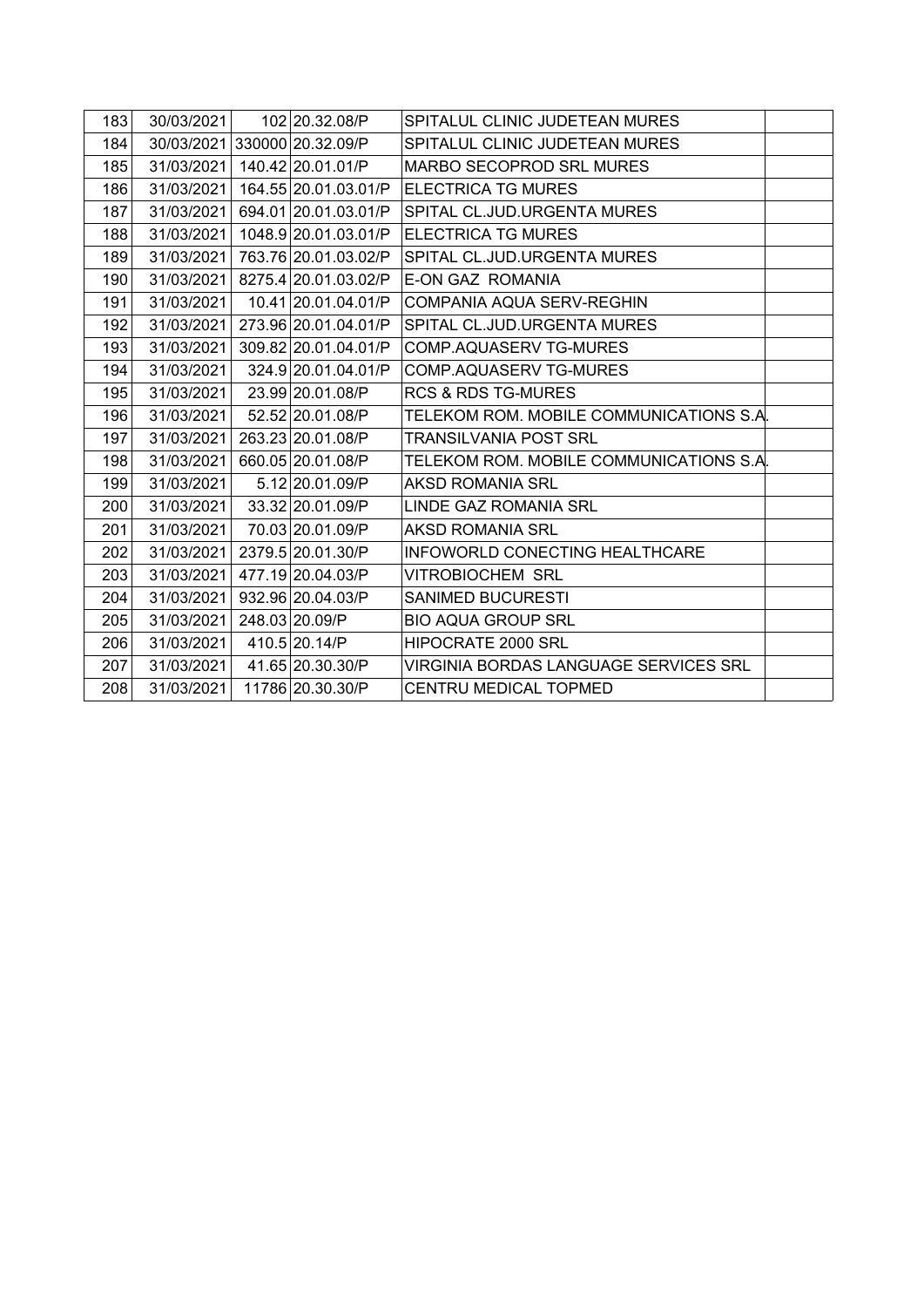| 183 | 30/03/2021                   | 102 20.32.08/P               | SPITALUL CLINIC JUDETEAN MURES          |  |
|-----|------------------------------|------------------------------|-----------------------------------------|--|
| 184 | 30/03/2021 330000 20.32.09/P |                              | SPITALUL CLINIC JUDETEAN MURES          |  |
| 185 |                              | 31/03/2021 140.42 20.01.01/P | MARBO SECOPROD SRL MURES                |  |
| 186 | 31/03/2021                   | 164.55 20.01.03.01/P         | <b>ELECTRICA TG MURES</b>               |  |
| 187 | 31/03/2021                   | 694.01 20.01.03.01/P         | SPITAL CL.JUD.URGENTA MURES             |  |
| 188 | 31/03/2021                   | 1048.9 20.01.03.01/P         | ELECTRICA TG MURES                      |  |
| 189 | 31/03/2021                   | 763.76 20.01.03.02/P         | SPITAL CL.JUD.URGENTA MURES             |  |
| 190 | 31/03/2021                   | 8275.4 20.01.03.02/P         | E-ON GAZ ROMANIA                        |  |
| 191 | 31/03/2021                   | 10.41 20.01.04.01/P          | COMPANIA AQUA SERV-REGHIN               |  |
| 192 | 31/03/2021                   | 273.96 20.01.04.01/P         | SPITAL CL.JUD.URGENTA MURES             |  |
| 193 | 31/03/2021                   | 309.82 20.01.04.01/P         | COMP.AQUASERV TG-MURES                  |  |
| 194 | 31/03/2021                   | 324.9 20.01.04.01/P          | COMP.AQUASERV TG-MURES                  |  |
| 195 | 31/03/2021                   | 23.99 20.01.08/P             | <b>RCS &amp; RDS TG-MURES</b>           |  |
| 196 | 31/03/2021                   | 52.52 20.01.08/P             | TELEKOM ROM. MOBILE COMMUNICATIONS S.A. |  |
| 197 | 31/03/2021                   | 263.23 20.01.08/P            | <b>TRANSILVANIA POST SRL</b>            |  |
| 198 | 31/03/2021                   | 660.05 20.01.08/P            | TELEKOM ROM. MOBILE COMMUNICATIONS S.A. |  |
| 199 | 31/03/2021                   | 5.12 20.01.09/P              | AKSD ROMANIA SRL                        |  |
| 200 | 31/03/2021                   | 33.32 20.01.09/P             | LINDE GAZ ROMANIA SRL                   |  |
| 201 | 31/03/2021                   | 70.03 20.01.09/P             | AKSD ROMANIA SRL                        |  |
| 202 | 31/03/2021                   | 2379.5 20.01.30/P            | INFOWORLD CONECTING HEALTHCARE          |  |
| 203 | 31/03/2021                   | 477.19 20.04.03/P            | <b>VITROBIOCHEM SRL</b>                 |  |
| 204 | 31/03/2021                   | 932.96 20.04.03/P            | <b>SANIMED BUCURESTI</b>                |  |
| 205 | 31/03/2021                   | 248.03 20.09/P               | <b>BIO AQUA GROUP SRL</b>               |  |
| 206 | 31/03/2021                   | 410.5 20.14/P                | HIPOCRATE 2000 SRL                      |  |
| 207 | 31/03/2021                   | 41.65 20.30.30/P             | VIRGINIA BORDAS LANGUAGE SERVICES SRL   |  |
| 208 | 31/03/2021                   | 11786 20.30.30/P             | CENTRU MEDICAL TOPMED                   |  |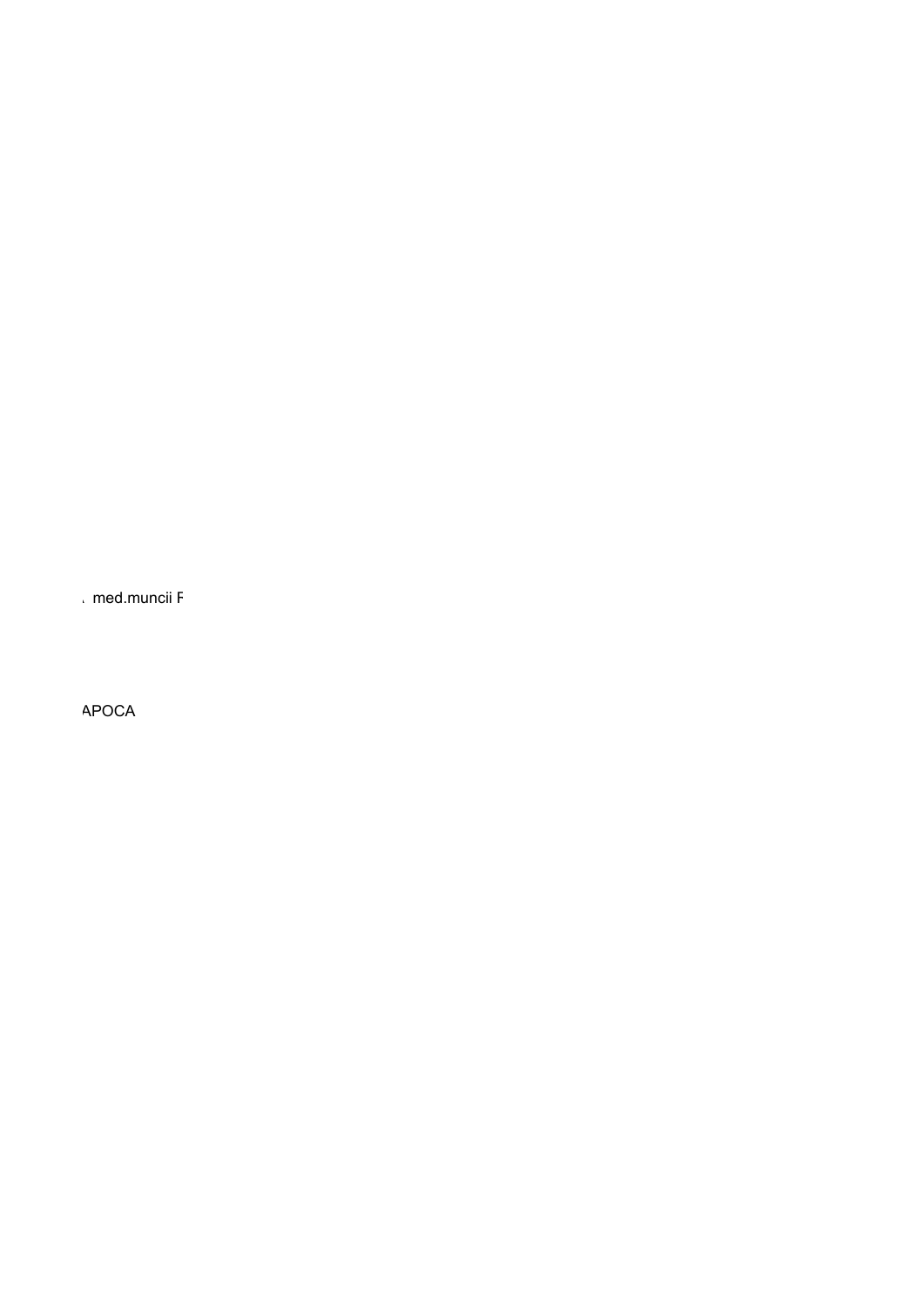med muncii F

APOCA